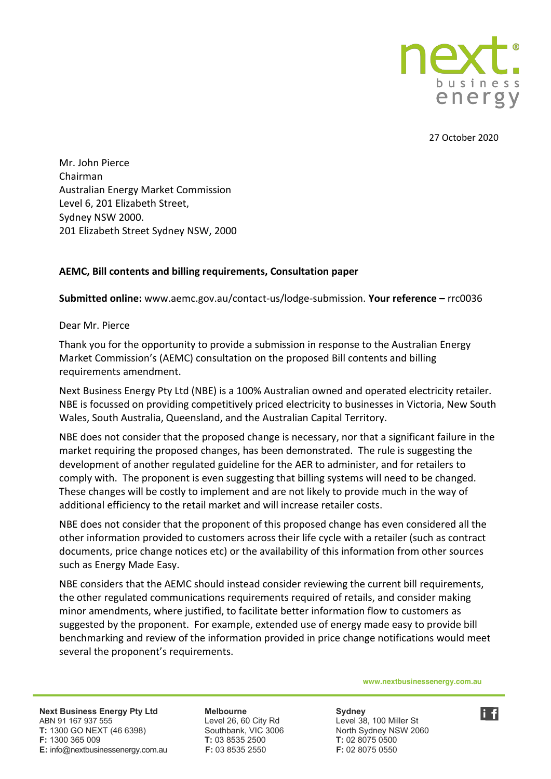

27 October 2020

Mr. John Pierce Chairman Australian Energy Market Commission Level 6, 201 Elizabeth Street, Sydney NSW 2000. 201 Elizabeth Street Sydney NSW, 2000

#### **AEMC, Bill contents and billing requirements, Consultation paper**

**Submitted online:** www.aemc.gov.au/contact-us/lodge-submission. **Your reference –** rrc0036

#### Dear Mr. Pierce

Thank you for the opportunity to provide a submission in response to the Australian Energy Market Commission's (AEMC) consultation on the proposed Bill contents and billing requirements amendment.

Next Business Energy Pty Ltd (NBE) is a 100% Australian owned and operated electricity retailer. NBE is focussed on providing competitively priced electricity to businesses in Victoria, New South Wales, South Australia, Queensland, and the Australian Capital Territory.

NBE does not consider that the proposed change is necessary, nor that a significant failure in the market requiring the proposed changes, has been demonstrated. The rule is suggesting the development of another regulated guideline for the AER to administer, and for retailers to comply with. The proponent is even suggesting that billing systems will need to be changed. These changes will be costly to implement and are not likely to provide much in the way of additional efficiency to the retail market and will increase retailer costs.

NBE does not consider that the proponent of this proposed change has even considered all the other information provided to customers across their life cycle with a retailer (such as contract documents, price change notices etc) or the availability of this information from other sources such as Energy Made Easy.

NBE considers that the AEMC should instead consider reviewing the current bill requirements, the other regulated communications requirements required of retails, and consider making minor amendments, where justified, to facilitate better information flow to customers as suggested by the proponent. For example, extended use of energy made easy to provide bill benchmarking and review of the information provided in price change notifications would meet several the proponent's requirements.

**www.nextbusinessenergy.com.au**

**Next Business Energy Pty Ltd** Melbourne Melbourne Sydney<br>
ABN 91 167 937 555 Cevel 26, 60 City Rd Level 38, 100 Miller St ABN 91 167 937 555 Level 26, 60 City Rd **T:** 1300 GO NEXT (46 6398) Southbank, VIC 3006 North Sydney NSW 2060 **F:** 1300 365 009 **T:** 03 8535 2500 **T:** 02 8075 0500 **E:** info@nextbusinessenergy.com.au **F:** 03 8535 2550 **F:** 02 8075 0550

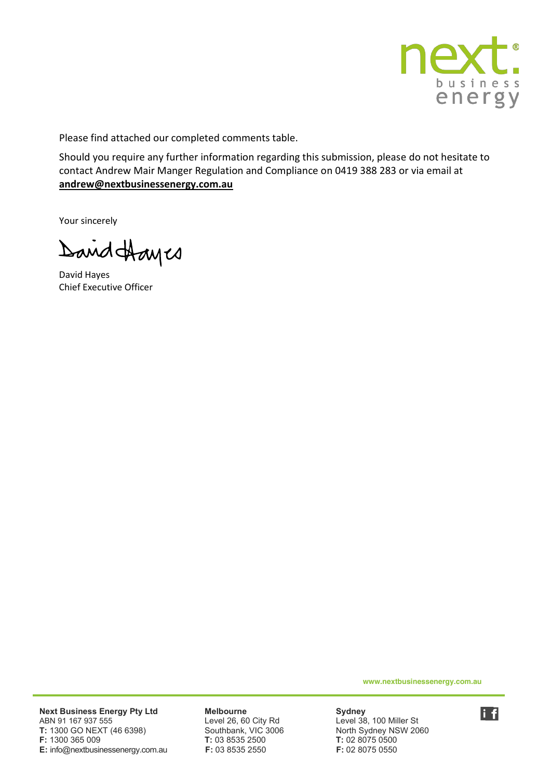

Please find attached our completed comments table.

Should you require any further information regarding this submission, please do not hesitate to contact Andrew Mair Manger Regulation and Compliance on 0419 388 283 or via email at **[andrew@nextbusinessenergy.com.au](mailto:andrew@nextbusinessenergy.com.au)**

Your sincerely

David Hayes

David Hayes Chief Executive Officer

**www.nextbusinessenergy.com.au**

**Next Business Energy Pty Ltd Melbourne Melbourge Sydney<br>ABN 91 167 937 555 Level 26, 60 City Rd Level 38** ABN 91 167 937 555<br>
T: 1300 GO NEXT (46 6398) Level 26, 60 City Rd Level 38, 100 Miller St<br>
Southbank, VIC 3006 North Sydney NSW 2060 **T:** 1300 GO NEXT (46 6398) **F:** 1300 365 009 **T:** 03 8535 2500 **T:** 02 8075 0500 **E:** info@nextbusinessenergy.com.au **F:** 03 8535 2550 **F:** 02 8075 0550

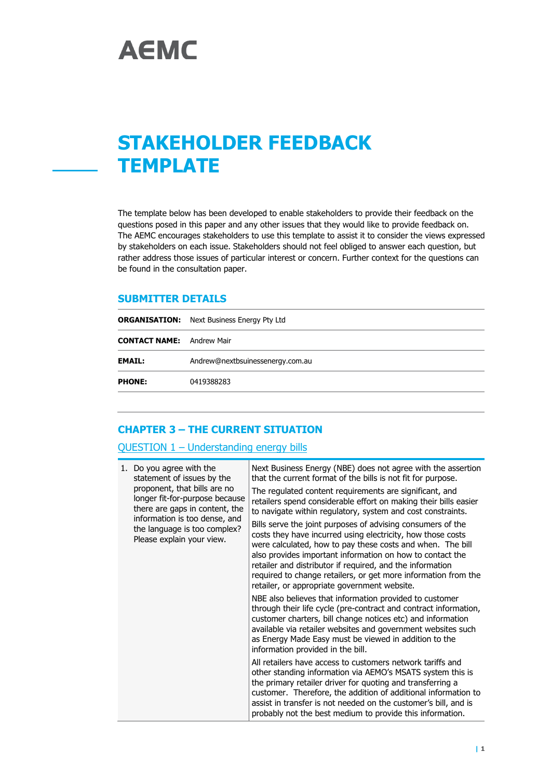# **STAKEHOLDER FEEDBACK TEMPLATE**

The template below has been developed to enable stakeholders to provide their feedback on the questions posed in this paper and any other issues that they would like to provide feedback on. The AEMC encourages stakeholders to use this template to assist it to consider the views expressed by stakeholders on each issue. Stakeholders should not feel obliged to answer each question, but rather address those issues of particular interest or concern. Further context for the questions can be found in the consultation paper.

#### **SUBMITTER DETAILS**

|                                  | <b>ORGANISATION:</b> Next Business Energy Pty Ltd |  |
|----------------------------------|---------------------------------------------------|--|
| <b>CONTACT NAME:</b> Andrew Mair |                                                   |  |
| <b>EMAIL:</b>                    | Andrew@nextbsuinessenergy.com.au                  |  |
| <b>PHONE:</b>                    | 0419388283                                        |  |

#### **CHAPTER 3 – THE CURRENT SITUATION**

#### QUESTION 1 – Understanding energy bills

| 1. | Do you agree with the<br>statement of issues by the<br>proponent, that bills are no<br>longer fit-for-purpose because<br>there are gaps in content, the<br>information is too dense, and<br>the language is too complex?<br>Please explain your view. | Next Business Energy (NBE) does not agree with the assertion<br>that the current format of the bills is not fit for purpose.<br>The regulated content requirements are significant, and<br>retailers spend considerable effort on making their bills easier<br>to navigate within regulatory, system and cost constraints.<br>Bills serve the joint purposes of advising consumers of the<br>costs they have incurred using electricity, how those costs<br>were calculated, how to pay these costs and when. The bill<br>also provides important information on how to contact the<br>retailer and distributor if required, and the information<br>required to change retailers, or get more information from the<br>retailer, or appropriate government website. |
|----|-------------------------------------------------------------------------------------------------------------------------------------------------------------------------------------------------------------------------------------------------------|--------------------------------------------------------------------------------------------------------------------------------------------------------------------------------------------------------------------------------------------------------------------------------------------------------------------------------------------------------------------------------------------------------------------------------------------------------------------------------------------------------------------------------------------------------------------------------------------------------------------------------------------------------------------------------------------------------------------------------------------------------------------|
|    |                                                                                                                                                                                                                                                       | NBE also believes that information provided to customer<br>through their life cycle (pre-contract and contract information,<br>customer charters, bill change notices etc) and information<br>available via retailer websites and government websites such<br>as Energy Made Easy must be viewed in addition to the<br>information provided in the bill.                                                                                                                                                                                                                                                                                                                                                                                                           |
|    |                                                                                                                                                                                                                                                       | All retailers have access to customers network tariffs and<br>other standing information via AEMO's MSATS system this is<br>the primary retailer driver for quoting and transferring a<br>customer. Therefore, the addition of additional information to<br>assist in transfer is not needed on the customer's bill, and is<br>probably not the best medium to provide this information.                                                                                                                                                                                                                                                                                                                                                                           |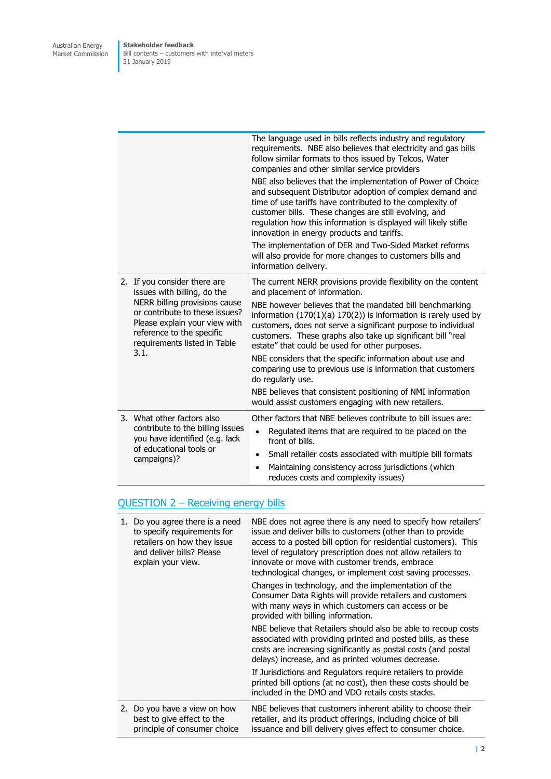|  |                                                                                                                                                                       | The language used in bills reflects industry and regulatory<br>requirements. NBE also believes that electricity and gas bills<br>follow similar formats to thos issued by Telcos, Water<br>companies and other similar service providers                                                                                                                         |
|--|-----------------------------------------------------------------------------------------------------------------------------------------------------------------------|------------------------------------------------------------------------------------------------------------------------------------------------------------------------------------------------------------------------------------------------------------------------------------------------------------------------------------------------------------------|
|  |                                                                                                                                                                       | NBE also believes that the implementation of Power of Choice<br>and subsequent Distributor adoption of complex demand and<br>time of use tariffs have contributed to the complexity of<br>customer bills. These changes are still evolving, and<br>regulation how this information is displayed will likely stifle<br>innovation in energy products and tariffs. |
|  |                                                                                                                                                                       | The implementation of DER and Two-Sided Market reforms<br>will also provide for more changes to customers bills and<br>information delivery.                                                                                                                                                                                                                     |
|  | 2. If you consider there are<br>issues with billing, do the                                                                                                           | The current NERR provisions provide flexibility on the content<br>and placement of information.                                                                                                                                                                                                                                                                  |
|  | NERR billing provisions cause<br>or contribute to these issues?<br>Please explain your view with<br>reference to the specific<br>requirements listed in Table<br>3.1. | NBE however believes that the mandated bill benchmarking<br>information $(170(1)(a) 170(2))$ is information is rarely used by<br>customers, does not serve a significant purpose to individual<br>customers. These graphs also take up significant bill "real<br>estate" that could be used for other purposes.                                                  |
|  |                                                                                                                                                                       | NBE considers that the specific information about use and<br>comparing use to previous use is information that customers<br>do regularly use.                                                                                                                                                                                                                    |
|  |                                                                                                                                                                       | NBE believes that consistent positioning of NMI information<br>would assist customers engaging with new retailers.                                                                                                                                                                                                                                               |
|  | 3. What other factors also                                                                                                                                            | Other factors that NBE believes contribute to bill issues are:                                                                                                                                                                                                                                                                                                   |
|  | contribute to the billing issues<br>you have identified (e.g. lack                                                                                                    | Regulated items that are required to be placed on the<br>$\bullet$<br>front of bills.                                                                                                                                                                                                                                                                            |
|  | of educational tools or<br>campaigns)?                                                                                                                                | Small retailer costs associated with multiple bill formats<br>$\bullet$                                                                                                                                                                                                                                                                                          |
|  |                                                                                                                                                                       | Maintaining consistency across jurisdictions (which<br>$\bullet$<br>reduces costs and complexity issues)                                                                                                                                                                                                                                                         |

# QUESTION 2 - Receiving energy bills

| 1. Do you agree there is a need<br>to specify requirements for<br>retailers on how they issue<br>and deliver bills? Please<br>explain your view. | NBE does not agree there is any need to specify how retailers'<br>issue and deliver bills to customers (other than to provide<br>access to a posted bill option for residential customers). This<br>level of regulatory prescription does not allow retailers to<br>innovate or move with customer trends, embrace<br>technological changes, or implement cost saving processes. |
|--------------------------------------------------------------------------------------------------------------------------------------------------|----------------------------------------------------------------------------------------------------------------------------------------------------------------------------------------------------------------------------------------------------------------------------------------------------------------------------------------------------------------------------------|
|                                                                                                                                                  | Changes in technology, and the implementation of the<br>Consumer Data Rights will provide retailers and customers<br>with many ways in which customers can access or be<br>provided with billing information.                                                                                                                                                                    |
|                                                                                                                                                  | NBE believe that Retailers should also be able to recoup costs<br>associated with providing printed and posted bills, as these<br>costs are increasing significantly as postal costs (and postal<br>delays) increase, and as printed volumes decrease.                                                                                                                           |
|                                                                                                                                                  | If Jurisdictions and Regulators require retailers to provide<br>printed bill options (at no cost), then these costs should be<br>included in the DMO and VDO retails costs stacks.                                                                                                                                                                                               |
| 2. Do you have a view on how<br>best to give effect to the<br>principle of consumer choice                                                       | NBE believes that customers inherent ability to choose their<br>retailer, and its product offerings, including choice of bill<br>issuance and bill delivery gives effect to consumer choice.                                                                                                                                                                                     |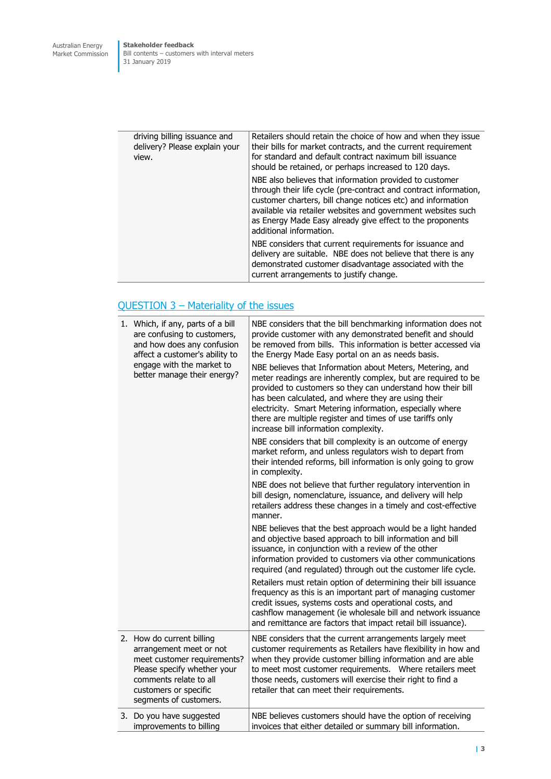| driving billing issuance and<br>delivery? Please explain your<br>view. | Retailers should retain the choice of how and when they issue<br>their bills for market contracts, and the current requirement<br>for standard and default contract naximum bill issuance<br>should be retained, or perhaps increased to 120 days.                                                                                                 |
|------------------------------------------------------------------------|----------------------------------------------------------------------------------------------------------------------------------------------------------------------------------------------------------------------------------------------------------------------------------------------------------------------------------------------------|
|                                                                        | NBE also believes that information provided to customer<br>through their life cycle (pre-contract and contract information,<br>customer charters, bill change notices etc) and information<br>available via retailer websites and government websites such<br>as Energy Made Easy already give effect to the proponents<br>additional information. |
|                                                                        | NBE considers that current requirements for issuance and<br>delivery are suitable. NBE does not believe that there is any<br>demonstrated customer disadvantage associated with the<br>current arrangements to justify change.                                                                                                                     |

# QUESTION 3 – Materiality of the issues

| 1. Which, if any, parts of a bill<br>are confusing to customers,<br>and how does any confusion<br>affect a customer's ability to<br>engage with the market to<br>better manage their energy?    | NBE considers that the bill benchmarking information does not<br>provide customer with any demonstrated benefit and should<br>be removed from bills. This information is better accessed via<br>the Energy Made Easy portal on an as needs basis.<br>NBE believes that Information about Meters, Metering, and<br>meter readings are inherently complex, but are required to be<br>provided to customers so they can understand how their bill<br>has been calculated, and where they are using their<br>electricity. Smart Metering information, especially where<br>there are multiple register and times of use tariffs only<br>increase bill information complexity.<br>NBE considers that bill complexity is an outcome of energy<br>market reform, and unless regulators wish to depart from<br>their intended reforms, bill information is only going to grow<br>in complexity.<br>NBE does not believe that further regulatory intervention in<br>bill design, nomenclature, issuance, and delivery will help<br>retailers address these changes in a timely and cost-effective<br>manner.<br>NBE believes that the best approach would be a light handed<br>and objective based approach to bill information and bill<br>issuance, in conjunction with a review of the other<br>information provided to customers via other communications<br>required (and regulated) through out the customer life cycle.<br>Retailers must retain option of determining their bill issuance<br>frequency as this is an important part of managing customer<br>credit issues, systems costs and operational costs, and<br>cashflow management (ie wholesale bill and network issuance<br>and remittance are factors that impact retail bill issuance). |
|-------------------------------------------------------------------------------------------------------------------------------------------------------------------------------------------------|---------------------------------------------------------------------------------------------------------------------------------------------------------------------------------------------------------------------------------------------------------------------------------------------------------------------------------------------------------------------------------------------------------------------------------------------------------------------------------------------------------------------------------------------------------------------------------------------------------------------------------------------------------------------------------------------------------------------------------------------------------------------------------------------------------------------------------------------------------------------------------------------------------------------------------------------------------------------------------------------------------------------------------------------------------------------------------------------------------------------------------------------------------------------------------------------------------------------------------------------------------------------------------------------------------------------------------------------------------------------------------------------------------------------------------------------------------------------------------------------------------------------------------------------------------------------------------------------------------------------------------------------------------------------------------------------------------------------------------------------------|
| 2. How do current billing<br>arrangement meet or not<br>meet customer requirements?<br>Please specify whether your<br>comments relate to all<br>customers or specific<br>segments of customers. | NBE considers that the current arrangements largely meet<br>customer requirements as Retailers have flexibility in how and<br>when they provide customer billing information and are able<br>to meet most customer requirements.  Where retailers meet<br>those needs, customers will exercise their right to find a<br>retailer that can meet their requirements.                                                                                                                                                                                                                                                                                                                                                                                                                                                                                                                                                                                                                                                                                                                                                                                                                                                                                                                                                                                                                                                                                                                                                                                                                                                                                                                                                                                |
| 3. Do you have suggested<br>improvements to billing                                                                                                                                             | NBE believes customers should have the option of receiving<br>invoices that either detailed or summary bill information.                                                                                                                                                                                                                                                                                                                                                                                                                                                                                                                                                                                                                                                                                                                                                                                                                                                                                                                                                                                                                                                                                                                                                                                                                                                                                                                                                                                                                                                                                                                                                                                                                          |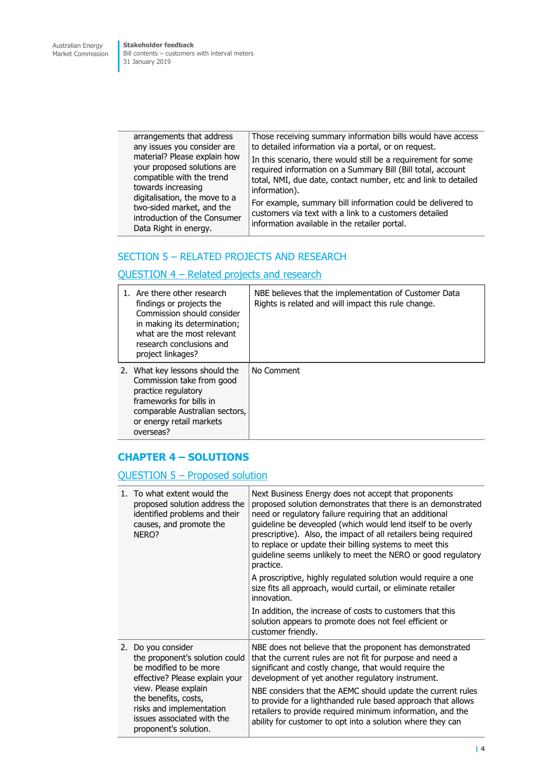**Stakeholder feedback** Bill contents – customers with interval meters 31 January 2019

arrangements that address any issues you consider are material? Please explain how your proposed solutions are compatible with the trend towards increasing digitalisation, the move to a two-sided market, and the introduction of the Consumer Data Right in energy. Those receiving summary information bills would have access to detailed information via a portal, or on request. In this scenario, there would still be a requirement for some required information on a Summary Bill (Bill total, account total, NMI, due date, contact number, etc and link to detailed information). For example, summary bill information could be delivered to customers via text with a link to a customers detailed information available in the retailer portal.

## SECTION 5 – RELATED PROJECTS AND RESEARCH

#### QUESTION 4 – Related projects and research

| 1. Are there other research<br>findings or projects the<br>Commission should consider<br>in making its determination;<br>what are the most relevant<br>research conclusions and<br>project linkages? | NBE believes that the implementation of Customer Data<br>Rights is related and will impact this rule change. |
|------------------------------------------------------------------------------------------------------------------------------------------------------------------------------------------------------|--------------------------------------------------------------------------------------------------------------|
| 2. What key lessons should the<br>Commission take from good<br>practice regulatory<br>frameworks for bills in<br>comparable Australian sectors,<br>or energy retail markets<br>overseas?             | No Comment                                                                                                   |

#### **CHAPTER 4 – SOLUTIONS**

#### QUESTION 5 – Proposed solution

| 1. To what extent would the<br>proposed solution address the<br>identified problems and their<br>causes, and promote the<br>NERO?                                                                                                                   | Next Business Energy does not accept that proponents<br>proposed solution demonstrates that there is an demonstrated<br>need or regulatory failure requiring that an additional<br>guideline be deveopled (which would lend itself to be overly<br>prescriptive). Also, the impact of all retailers being required<br>to replace or update their billing systems to meet this<br>guideline seems unlikely to meet the NERO or good regulatory<br>practice.<br>A proscriptive, highly regulated solution would require a one<br>size fits all approach, would curtail, or eliminate retailer<br>innovation.<br>In addition, the increase of costs to customers that this<br>solution appears to promote does not feel efficient or<br>customer friendly. |
|-----------------------------------------------------------------------------------------------------------------------------------------------------------------------------------------------------------------------------------------------------|---------------------------------------------------------------------------------------------------------------------------------------------------------------------------------------------------------------------------------------------------------------------------------------------------------------------------------------------------------------------------------------------------------------------------------------------------------------------------------------------------------------------------------------------------------------------------------------------------------------------------------------------------------------------------------------------------------------------------------------------------------|
| 2. Do you consider<br>the proponent's solution could<br>be modified to be more<br>effective? Please explain your<br>view. Please explain<br>the benefits, costs,<br>risks and implementation<br>issues associated with the<br>proponent's solution. | NBE does not believe that the proponent has demonstrated<br>that the current rules are not fit for purpose and need a<br>significant and costly change, that would require the<br>development of yet another regulatory instrument.<br>NBE considers that the AEMC should update the current rules<br>to provide for a lighthanded rule based approach that allows<br>retailers to provide required minimum information, and the<br>ability for customer to opt into a solution where they can                                                                                                                                                                                                                                                          |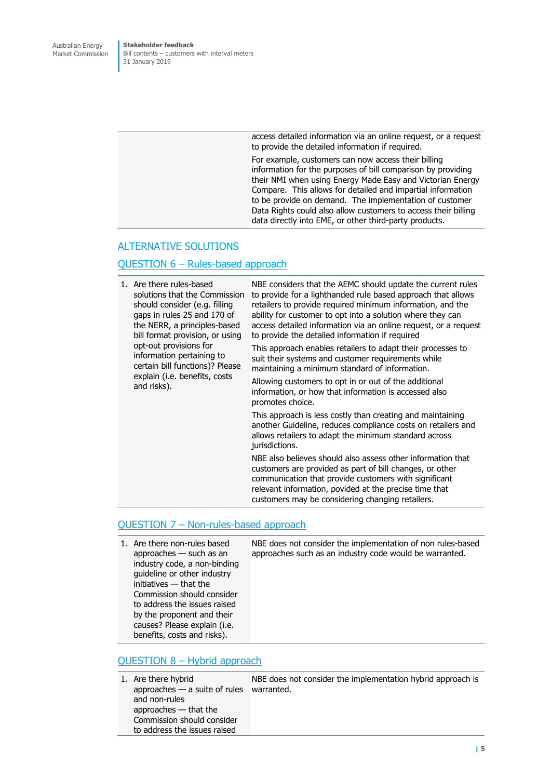**Stakeholder feedback** Bill contents – customers with interval meters 31 January 2019

| access detailed information via an online request, or a request<br>to provide the detailed information if required.                                                                                                                                                                                                                                                                                                                     |
|-----------------------------------------------------------------------------------------------------------------------------------------------------------------------------------------------------------------------------------------------------------------------------------------------------------------------------------------------------------------------------------------------------------------------------------------|
| For example, customers can now access their billing<br>information for the purposes of bill comparison by providing<br>their NMI when using Energy Made Easy and Victorian Energy<br>Compare. This allows for detailed and impartial information<br>to be provide on demand. The implementation of customer<br>Data Rights could also allow customers to access their billing<br>data directly into EME, or other third-party products. |
|                                                                                                                                                                                                                                                                                                                                                                                                                                         |

#### ALTERNATIVE SOLUTIONS

### QUESTION 6 – Rules-based approach

|  | 1. Are there rules-based<br>solutions that the Commission<br>should consider (e.g. filling<br>gaps in rules 25 and 170 of<br>the NERR, a principles-based<br>bill format provision, or using<br>opt-out provisions for<br>information pertaining to<br>certain bill functions)? Please<br>explain (i.e. benefits, costs<br>and risks). | NBE considers that the AEMC should update the current rules<br>to provide for a lighthanded rule based approach that allows<br>retailers to provide required minimum information, and the<br>ability for customer to opt into a solution where they can<br>access detailed information via an online request, or a request<br>to provide the detailed information if required<br>This approach enables retailers to adapt their processes to<br>suit their systems and customer requirements while<br>maintaining a minimum standard of information.<br>Allowing customers to opt in or out of the additional |
|--|----------------------------------------------------------------------------------------------------------------------------------------------------------------------------------------------------------------------------------------------------------------------------------------------------------------------------------------|---------------------------------------------------------------------------------------------------------------------------------------------------------------------------------------------------------------------------------------------------------------------------------------------------------------------------------------------------------------------------------------------------------------------------------------------------------------------------------------------------------------------------------------------------------------------------------------------------------------|
|  |                                                                                                                                                                                                                                                                                                                                        | information, or how that information is accessed also<br>promotes choice.                                                                                                                                                                                                                                                                                                                                                                                                                                                                                                                                     |
|  |                                                                                                                                                                                                                                                                                                                                        | This approach is less costly than creating and maintaining<br>another Guideline, reduces compliance costs on retailers and<br>allows retailers to adapt the minimum standard across<br>jurisdictions.                                                                                                                                                                                                                                                                                                                                                                                                         |
|  |                                                                                                                                                                                                                                                                                                                                        | NBE also believes should also assess other information that<br>customers are provided as part of bill changes, or other<br>communication that provide customers with significant<br>relevant information, povided at the precise time that<br>customers may be considering changing retailers.                                                                                                                                                                                                                                                                                                                |

# QUESTION 7 - Non-rules-based approach

| 1. Are there non-rules based<br>approaches $-$ such as an<br>industry code, a non-binding<br>guideline or other industry<br>initiatives - that the<br>Commission should consider<br>to address the issues raised<br>by the proponent and their<br>causes? Please explain (i.e. | NBE does not consider the implementation of non rules-based<br>approaches such as an industry code would be warranted. |
|--------------------------------------------------------------------------------------------------------------------------------------------------------------------------------------------------------------------------------------------------------------------------------|------------------------------------------------------------------------------------------------------------------------|
| benefits, costs and risks).                                                                                                                                                                                                                                                    |                                                                                                                        |

# QUESTION 8 – Hybrid approach

| 1. Are there hybrid<br>approaches $-$ a suite of rules | NBE does not consider the implementation hybrid approach is<br>warranted. |
|--------------------------------------------------------|---------------------------------------------------------------------------|
| and non-rules                                          |                                                                           |
| approaches $-$ that the                                |                                                                           |
| Commission should consider                             |                                                                           |
| to address the issues raised                           |                                                                           |